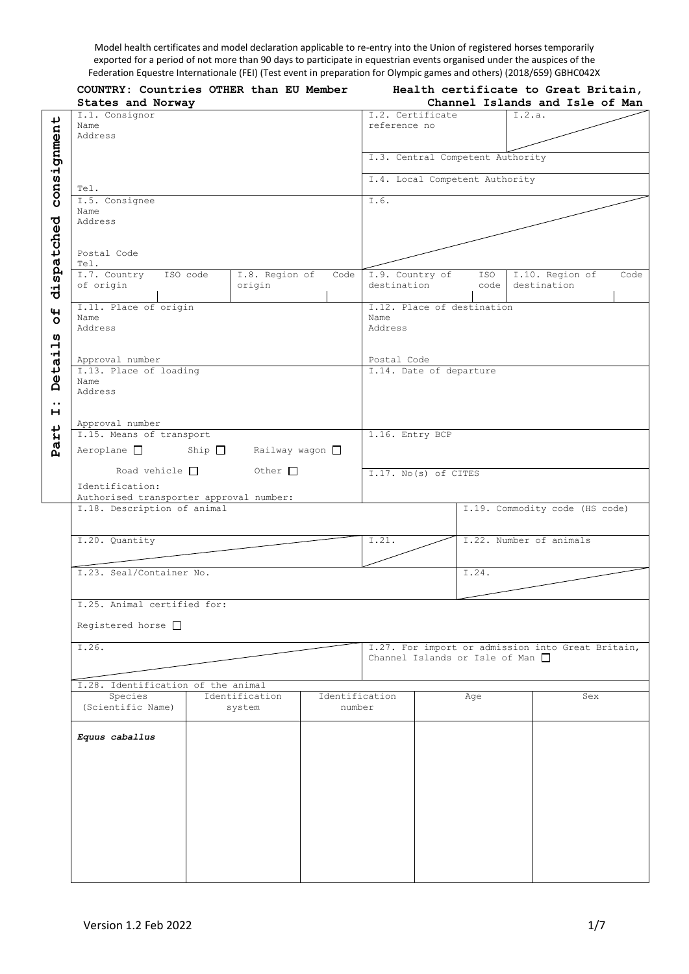Model health certificates and model declaration applicable to re-entry into the Union of registered horses temporarily exported for a period of not more than 90 days to participate in equestrian events organised under the auspices of the Federation Equestre Internationale (FEI) (Test event in preparation for Olympic games and others) (2018/659) GBHC042X

|                         | COUNTRY: Countries OTHER than EU Member<br>States and Norway | Health certificate to Great Britain,<br>Channel Islands and Isle of Man |                |                         |  |                                       |        |                                                   |      |
|-------------------------|--------------------------------------------------------------|-------------------------------------------------------------------------|----------------|-------------------------|--|---------------------------------------|--------|---------------------------------------------------|------|
|                         |                                                              |                                                                         |                |                         |  |                                       |        |                                                   |      |
|                         | I.1. Consignor                                               |                                                                         |                | I.2. Certificate        |  |                                       | I.2.a. |                                                   |      |
|                         | Name                                                         |                                                                         |                | reference no            |  |                                       |        |                                                   |      |
|                         | Address                                                      |                                                                         |                |                         |  |                                       |        |                                                   |      |
|                         |                                                              |                                                                         |                |                         |  |                                       |        |                                                   |      |
| consignment             |                                                              |                                                                         |                |                         |  | I.3. Central Competent Authority      |        |                                                   |      |
|                         |                                                              |                                                                         |                |                         |  |                                       |        |                                                   |      |
|                         | Tel.                                                         |                                                                         |                |                         |  | I.4. Local Competent Authority        |        |                                                   |      |
|                         |                                                              |                                                                         |                |                         |  |                                       |        |                                                   |      |
|                         | I.5. Consignee                                               |                                                                         |                | $\overline{1.6}$ .      |  |                                       |        |                                                   |      |
|                         | Name                                                         |                                                                         |                |                         |  |                                       |        |                                                   |      |
| dispatched              | Address                                                      |                                                                         |                |                         |  |                                       |        |                                                   |      |
|                         |                                                              |                                                                         |                |                         |  |                                       |        |                                                   |      |
|                         |                                                              |                                                                         |                |                         |  |                                       |        |                                                   |      |
|                         | Postal Code                                                  |                                                                         |                |                         |  |                                       |        |                                                   |      |
|                         | Tel.                                                         |                                                                         |                |                         |  |                                       |        |                                                   |      |
|                         | I.7. Country<br>ISO code                                     | I.8. Region of                                                          | Code           | I.9. Country of         |  | ISO                                   |        | I.10. Region of                                   | Code |
|                         | of origin                                                    | origin                                                                  |                | destination             |  | code                                  |        | destination                                       |      |
|                         |                                                              |                                                                         |                |                         |  |                                       |        |                                                   |      |
|                         | I.11. Place of origin                                        |                                                                         |                |                         |  | I.12. Place of destination            |        |                                                   |      |
| $\overline{\mathbf{H}}$ | Name                                                         |                                                                         |                | Name                    |  |                                       |        |                                                   |      |
|                         | Address                                                      |                                                                         |                | Address                 |  |                                       |        |                                                   |      |
| w                       |                                                              |                                                                         |                |                         |  |                                       |        |                                                   |      |
|                         |                                                              |                                                                         |                |                         |  |                                       |        |                                                   |      |
| Detail                  | Approval number                                              |                                                                         |                | Postal Code             |  |                                       |        |                                                   |      |
|                         | I.13. Place of loading                                       |                                                                         |                | I.14. Date of departure |  |                                       |        |                                                   |      |
|                         | Name                                                         |                                                                         |                |                         |  |                                       |        |                                                   |      |
|                         | Address                                                      |                                                                         |                |                         |  |                                       |        |                                                   |      |
| $\bullet\bullet$        |                                                              |                                                                         |                |                         |  |                                       |        |                                                   |      |
| н                       |                                                              |                                                                         |                |                         |  |                                       |        |                                                   |      |
|                         | Approval number                                              |                                                                         |                |                         |  |                                       |        |                                                   |      |
|                         | I.15. Means of transport                                     |                                                                         |                | 1.16. Entry BCP         |  |                                       |        |                                                   |      |
| Part                    | $Aeroplane$ Ship $\Box$<br>Railway wagon $\square$           |                                                                         |                |                         |  |                                       |        |                                                   |      |
|                         |                                                              |                                                                         |                |                         |  |                                       |        |                                                   |      |
|                         | Road vehicle $\Box$                                          | Other $\Box$                                                            |                | I.17. No(s) of CITES    |  |                                       |        |                                                   |      |
|                         |                                                              |                                                                         |                |                         |  |                                       |        |                                                   |      |
|                         | Identification:                                              |                                                                         |                |                         |  |                                       |        |                                                   |      |
|                         | Authorised transporter approval number:                      |                                                                         |                |                         |  |                                       |        |                                                   |      |
|                         | I.18. Description of animal                                  |                                                                         |                |                         |  |                                       |        | I.19. Commodity code (HS code)                    |      |
|                         |                                                              |                                                                         |                |                         |  |                                       |        |                                                   |      |
|                         |                                                              |                                                                         |                |                         |  |                                       |        |                                                   |      |
|                         | I.20. Quantity                                               |                                                                         |                | I.21.                   |  |                                       |        | I.22. Number of animals                           |      |
|                         |                                                              |                                                                         |                |                         |  |                                       |        |                                                   |      |
|                         |                                                              |                                                                         |                |                         |  |                                       |        |                                                   |      |
|                         | I.23. Seal/Container No.                                     |                                                                         |                |                         |  | I.24.                                 |        |                                                   |      |
|                         |                                                              |                                                                         |                |                         |  |                                       |        |                                                   |      |
|                         |                                                              |                                                                         |                |                         |  |                                       |        |                                                   |      |
|                         | I.25. Animal certified for:                                  |                                                                         |                |                         |  |                                       |        |                                                   |      |
|                         |                                                              |                                                                         |                |                         |  |                                       |        |                                                   |      |
|                         | Registered horse $\Box$                                      |                                                                         |                |                         |  |                                       |        |                                                   |      |
|                         |                                                              |                                                                         |                |                         |  |                                       |        |                                                   |      |
|                         | I.26.                                                        |                                                                         |                |                         |  |                                       |        | I.27. For import or admission into Great Britain, |      |
|                         |                                                              |                                                                         |                |                         |  | Channel Islands or Isle of Man $\Box$ |        |                                                   |      |
|                         |                                                              |                                                                         |                |                         |  |                                       |        |                                                   |      |
|                         | I.28. Identification of the animal                           |                                                                         |                |                         |  |                                       |        |                                                   |      |
|                         | Species                                                      | Identification                                                          | Identification |                         |  | Age                                   |        | Sex                                               |      |
|                         | (Scientific Name)                                            | system                                                                  | number         |                         |  |                                       |        |                                                   |      |
|                         |                                                              |                                                                         |                |                         |  |                                       |        |                                                   |      |
|                         |                                                              |                                                                         |                |                         |  |                                       |        |                                                   |      |
|                         | Equus caballus                                               |                                                                         |                |                         |  |                                       |        |                                                   |      |
|                         |                                                              |                                                                         |                |                         |  |                                       |        |                                                   |      |
|                         |                                                              |                                                                         |                |                         |  |                                       |        |                                                   |      |
|                         |                                                              |                                                                         |                |                         |  |                                       |        |                                                   |      |
|                         |                                                              |                                                                         |                |                         |  |                                       |        |                                                   |      |
|                         |                                                              |                                                                         |                |                         |  |                                       |        |                                                   |      |
|                         |                                                              |                                                                         |                |                         |  |                                       |        |                                                   |      |
|                         |                                                              |                                                                         |                |                         |  |                                       |        |                                                   |      |
|                         |                                                              |                                                                         |                |                         |  |                                       |        |                                                   |      |
|                         |                                                              |                                                                         |                |                         |  |                                       |        |                                                   |      |
|                         |                                                              |                                                                         |                |                         |  |                                       |        |                                                   |      |
|                         |                                                              |                                                                         |                |                         |  |                                       |        |                                                   |      |
|                         |                                                              |                                                                         |                |                         |  |                                       |        |                                                   |      |
|                         |                                                              |                                                                         |                |                         |  |                                       |        |                                                   |      |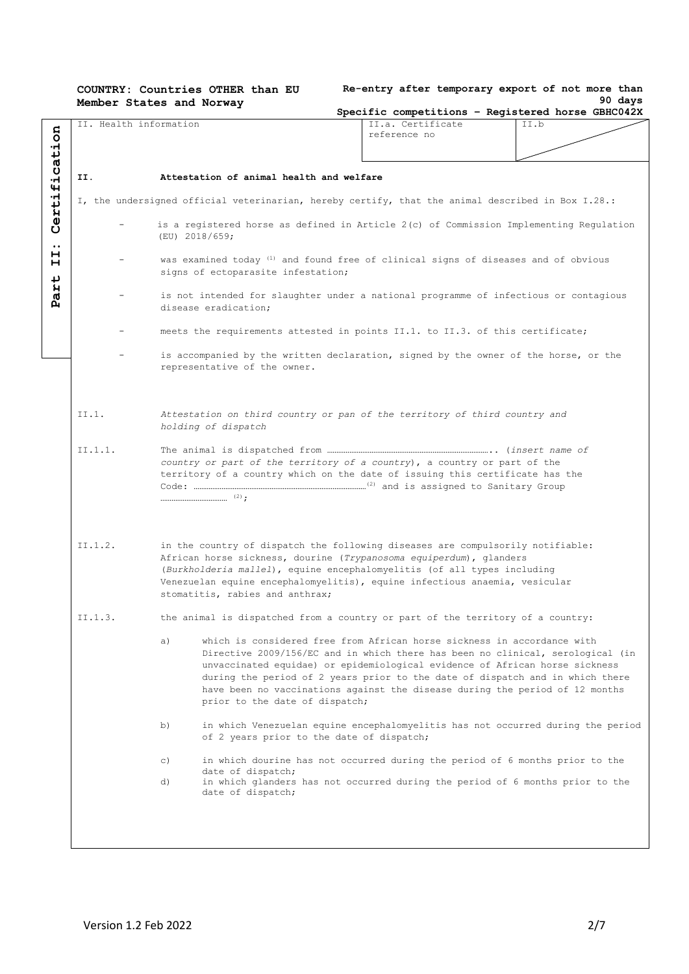**COUNTRY: Countries OTHER than EU Member States and Norway**

|  | Re-entry after temporary export of not more than |  |  |         |
|--|--------------------------------------------------|--|--|---------|
|  |                                                  |  |  | 90 days |

|         | II. Health information |                                          | II.a. Certificate                                                                                                                                                                                                                                                                                                                                                                                         | II.b |
|---------|------------------------|------------------------------------------|-----------------------------------------------------------------------------------------------------------------------------------------------------------------------------------------------------------------------------------------------------------------------------------------------------------------------------------------------------------------------------------------------------------|------|
|         |                        |                                          | reference no                                                                                                                                                                                                                                                                                                                                                                                              |      |
|         |                        |                                          |                                                                                                                                                                                                                                                                                                                                                                                                           |      |
| II.     |                        | Attestation of animal health and welfare |                                                                                                                                                                                                                                                                                                                                                                                                           |      |
|         |                        |                                          |                                                                                                                                                                                                                                                                                                                                                                                                           |      |
|         |                        |                                          | I, the undersigned official veterinarian, hereby certify, that the animal described in Box I.28.:                                                                                                                                                                                                                                                                                                         |      |
|         |                        | (EU) 2018/659;                           | is a registered horse as defined in Article 2(c) of Commission Implementing Regulation                                                                                                                                                                                                                                                                                                                    |      |
|         |                        | signs of ectoparasite infestation;       | was examined today <sup>(1)</sup> and found free of clinical signs of diseases and of obvious                                                                                                                                                                                                                                                                                                             |      |
|         |                        | disease eradication;                     | is not intended for slaughter under a national programme of infectious or contagious                                                                                                                                                                                                                                                                                                                      |      |
|         |                        |                                          | meets the requirements attested in points II.1. to II.3. of this certificate;                                                                                                                                                                                                                                                                                                                             |      |
|         |                        | representative of the owner.             | is accompanied by the written declaration, signed by the owner of the horse, or the                                                                                                                                                                                                                                                                                                                       |      |
| II.1.   |                        | holding of dispatch                      | Attestation on third country or pan of the territory of third country and                                                                                                                                                                                                                                                                                                                                 |      |
| II.1.1. |                        |                                          | country or part of the territory of a country), a country or part of the<br>territory of a country which on the date of issuing this certificate has the                                                                                                                                                                                                                                                  |      |
| II.1.2. |                        | stomatitis, rabies and anthrax;          | in the country of dispatch the following diseases are compulsorily notifiable:<br>African horse sickness, dourine (Trypanosoma equiperdum), qlanders<br>(Burkholderia mallel), equine encephalomyelitis (of all types including<br>Venezuelan equine encephalomyelitis), equine infectious anaemia, vesicular                                                                                             |      |
| II.1.3. |                        |                                          | the animal is dispatched from a country or part of the territory of a country:                                                                                                                                                                                                                                                                                                                            |      |
|         | a)                     | prior to the date of dispatch;           | which is considered free from African horse sickness in accordance with<br>Directive 2009/156/EC and in which there has been no clinical, serological (in<br>unvaccinated equidae) or epidemiological evidence of African horse sickness<br>during the period of 2 years prior to the date of dispatch and in which there<br>have been no vaccinations against the disease during the period of 12 months |      |
|         | b)                     |                                          | in which Venezuelan equine encephalomyelitis has not occurred during the period<br>of 2 years prior to the date of dispatch;                                                                                                                                                                                                                                                                              |      |
|         | $\circ$ )<br>d)        | date of dispatch;                        | in which dourine has not occurred during the period of 6 months prior to the<br>in which glanders has not occurred during the period of 6 months prior to the                                                                                                                                                                                                                                             |      |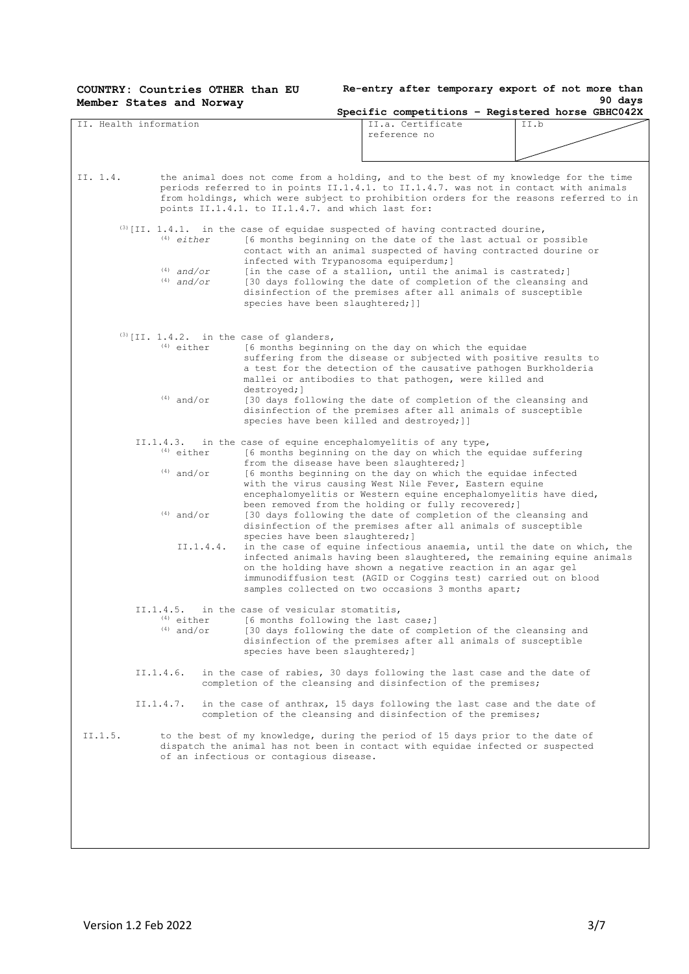| COUNTRY: Countries OTHER than EU<br>Member States and Norway |                                                                                                                 | Re-entry after temporary export of not more than                                                                                                                                                                                                                                                                                           | 90 days |
|--------------------------------------------------------------|-----------------------------------------------------------------------------------------------------------------|--------------------------------------------------------------------------------------------------------------------------------------------------------------------------------------------------------------------------------------------------------------------------------------------------------------------------------------------|---------|
|                                                              |                                                                                                                 | Specific competitions - Registered horse GBHC042X                                                                                                                                                                                                                                                                                          |         |
| II. Health information                                       |                                                                                                                 | II.a. Certificate<br>reference no                                                                                                                                                                                                                                                                                                          | II.b    |
|                                                              |                                                                                                                 |                                                                                                                                                                                                                                                                                                                                            |         |
| II. 1.4.                                                     |                                                                                                                 | the animal does not come from a holding, and to the best of my knowledge for the time<br>periods referred to in points II.1.4.1. to II.1.4.7. was not in contact with animals<br>from holdings, which were subject to prohibition orders for the reasons referred to in                                                                    |         |
|                                                              | points II.1.4.1. to II.1.4.7. and which last for:                                                               |                                                                                                                                                                                                                                                                                                                                            |         |
| $(4)$ either<br>$(4)$ and/or                                 | infected with Trypanosoma equiperdum; ]                                                                         | $^{(3)}$ [II. 1.4.1. in the case of equidae suspected of having contracted dourine,<br>[6 months beginning on the date of the last actual or possible<br>contact with an animal suspected of having contracted dourine or                                                                                                                  |         |
| $(4)$ and/or                                                 | species have been slaughtered; ]]                                                                               | [in the case of a stallion, until the animal is castrated;]<br>[30 days following the date of completion of the cleansing and<br>disinfection of the premises after all animals of susceptible                                                                                                                                             |         |
| $(3)$ [II. 1.4.2. in the case of glanders,<br>$(4)$ either   |                                                                                                                 | [6 months beginning on the day on which the equidae<br>suffering from the disease or subjected with positive results to<br>a test for the detection of the causative pathogen Burkholderia<br>mallei or antibodies to that pathogen, were killed and                                                                                       |         |
| $(4)$ and/or                                                 | destroyed;]<br>species have been killed and destroyed; ]]                                                       | [30 days following the date of completion of the cleansing and<br>disinfection of the premises after all animals of susceptible                                                                                                                                                                                                            |         |
| II.1.4.3.<br>$(4)$ either                                    | from the disease have been slaughtered; ]                                                                       | in the case of equine encephalomyelitis of any type,<br>[6 months beginning on the day on which the equidae suffering                                                                                                                                                                                                                      |         |
| $(4)$ and/or                                                 |                                                                                                                 | [6 months beginning on the day on which the equidae infected<br>with the virus causing West Nile Fever, Eastern equine<br>encephalomyelitis or Western equine encephalomyelitis have died,<br>been removed from the holding or fully recovered; ]                                                                                          |         |
| $(4)$ and/or                                                 | species have been slaughtered; ]                                                                                | [30 days following the date of completion of the cleansing and<br>disinfection of the premises after all animals of susceptible                                                                                                                                                                                                            |         |
| II.1.4.4.                                                    |                                                                                                                 | in the case of equine infectious anaemia, until the date on which, the<br>infected animals having been slaughtered, the remaining equine animals<br>on the holding have shown a negative reaction in an agar gel<br>immunodiffusion test (AGID or Coggins test) carried out on blood<br>samples collected on two occasions 3 months apart; |         |
| II.1.4.5.<br>$(4)$ either<br>$(4)$ and/or                    | in the case of vesicular stomatitis,<br>[6 months following the last case;]<br>species have been slaughtered; ] | [30 days following the date of completion of the cleansing and<br>disinfection of the premises after all animals of susceptible                                                                                                                                                                                                            |         |
| II.1.4.6.                                                    |                                                                                                                 | in the case of rabies, 30 days following the last case and the date of<br>completion of the cleansing and disinfection of the premises;                                                                                                                                                                                                    |         |
| II.1.4.7.                                                    |                                                                                                                 | in the case of anthrax, 15 days following the last case and the date of<br>completion of the cleansing and disinfection of the premises;                                                                                                                                                                                                   |         |
| II.1.5.                                                      | of an infectious or contagious disease.                                                                         | to the best of my knowledge, during the period of 15 days prior to the date of<br>dispatch the animal has not been in contact with equidae infected or suspected                                                                                                                                                                           |         |
|                                                              |                                                                                                                 |                                                                                                                                                                                                                                                                                                                                            |         |
|                                                              |                                                                                                                 |                                                                                                                                                                                                                                                                                                                                            |         |
|                                                              |                                                                                                                 |                                                                                                                                                                                                                                                                                                                                            |         |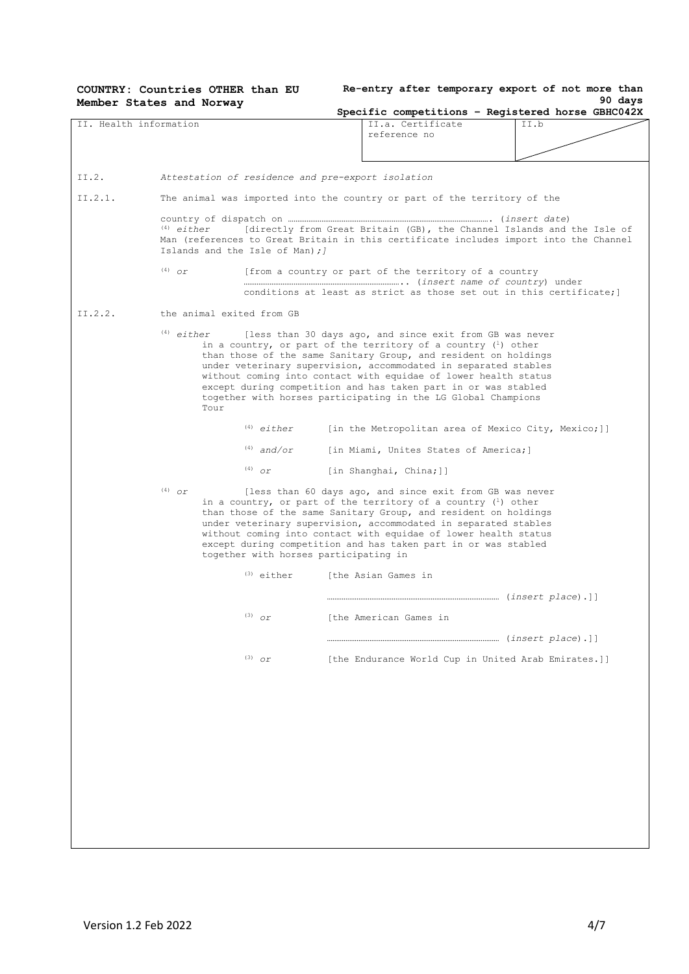|                        | COUNTRY: Countries OTHER than EU<br>Member States and Norway   |                                                   |                                                                                                                                                                                                                                                                                                                                                                                                                                                                         | Re-entry after temporary export of not more than<br>90 days                                                                                                     |  |
|------------------------|----------------------------------------------------------------|---------------------------------------------------|-------------------------------------------------------------------------------------------------------------------------------------------------------------------------------------------------------------------------------------------------------------------------------------------------------------------------------------------------------------------------------------------------------------------------------------------------------------------------|-----------------------------------------------------------------------------------------------------------------------------------------------------------------|--|
|                        |                                                                |                                                   |                                                                                                                                                                                                                                                                                                                                                                                                                                                                         | Specific competitions - Registered horse GBHC042X                                                                                                               |  |
| II. Health information |                                                                |                                                   | II.a. Certificate<br>reference no                                                                                                                                                                                                                                                                                                                                                                                                                                       | II.b                                                                                                                                                            |  |
| II.2.                  |                                                                | Attestation of residence and pre-export isolation |                                                                                                                                                                                                                                                                                                                                                                                                                                                                         |                                                                                                                                                                 |  |
| II.2.1.                |                                                                |                                                   | The animal was imported into the country or part of the territory of the                                                                                                                                                                                                                                                                                                                                                                                                |                                                                                                                                                                 |  |
|                        | $^{(4)}$ either<br>Islands and the Isle of Man); l<br>$(4)$ or |                                                   | [from a country or part of the territory of a country                                                                                                                                                                                                                                                                                                                                                                                                                   | [directly from Great Britain (GB), the Channel Islands and the Isle of<br>Man (references to Great Britain in this certificate includes import into the Channel |  |
|                        |                                                                |                                                   |                                                                                                                                                                                                                                                                                                                                                                                                                                                                         | conditions at least as strict as those set out in this certificate;                                                                                             |  |
| II.2.2.                | the animal exited from GB<br>$(4)$ either<br>Tour              |                                                   | [less than 30 days ago, and since exit from GB was never<br>in a country, or part of the territory of a country $(1)$ other<br>than those of the same Sanitary Group, and resident on holdings<br>under veterinary supervision, accommodated in separated stables<br>without coming into contact with equidae of lower health status<br>except during competition and has taken part in or was stabled<br>together with horses participating in the LG Global Champions |                                                                                                                                                                 |  |
|                        |                                                                | $(4)$ either                                      |                                                                                                                                                                                                                                                                                                                                                                                                                                                                         | [in the Metropolitan area of Mexico City, Mexico;]]                                                                                                             |  |
|                        |                                                                | $(4)$ and/or                                      | [in Miami, Unites States of America;]                                                                                                                                                                                                                                                                                                                                                                                                                                   |                                                                                                                                                                 |  |
|                        |                                                                | $(4)$ or                                          | [in Shanghai, China;]]                                                                                                                                                                                                                                                                                                                                                                                                                                                  |                                                                                                                                                                 |  |
|                        | $(4)$ $\sigma r$                                               | together with horses participating in             | [less than 60 days ago, and since exit from GB was never<br>in a country, or part of the territory of a country $(1)$ other<br>than those of the same Sanitary Group, and resident on holdings<br>under veterinary supervision, accommodated in separated stables<br>without coming into contact with equidae of lower health status<br>except during competition and has taken part in or was stabled                                                                  |                                                                                                                                                                 |  |
|                        |                                                                | $(3)$ either                                      | [the Asian Games in                                                                                                                                                                                                                                                                                                                                                                                                                                                     |                                                                                                                                                                 |  |
|                        |                                                                |                                                   |                                                                                                                                                                                                                                                                                                                                                                                                                                                                         |                                                                                                                                                                 |  |
|                        |                                                                | $(3)$ or                                          | [the American Games in                                                                                                                                                                                                                                                                                                                                                                                                                                                  |                                                                                                                                                                 |  |
|                        |                                                                |                                                   |                                                                                                                                                                                                                                                                                                                                                                                                                                                                         |                                                                                                                                                                 |  |
|                        |                                                                | $(3)$ or                                          |                                                                                                                                                                                                                                                                                                                                                                                                                                                                         | [the Endurance World Cup in United Arab Emirates.]]                                                                                                             |  |
|                        |                                                                |                                                   |                                                                                                                                                                                                                                                                                                                                                                                                                                                                         |                                                                                                                                                                 |  |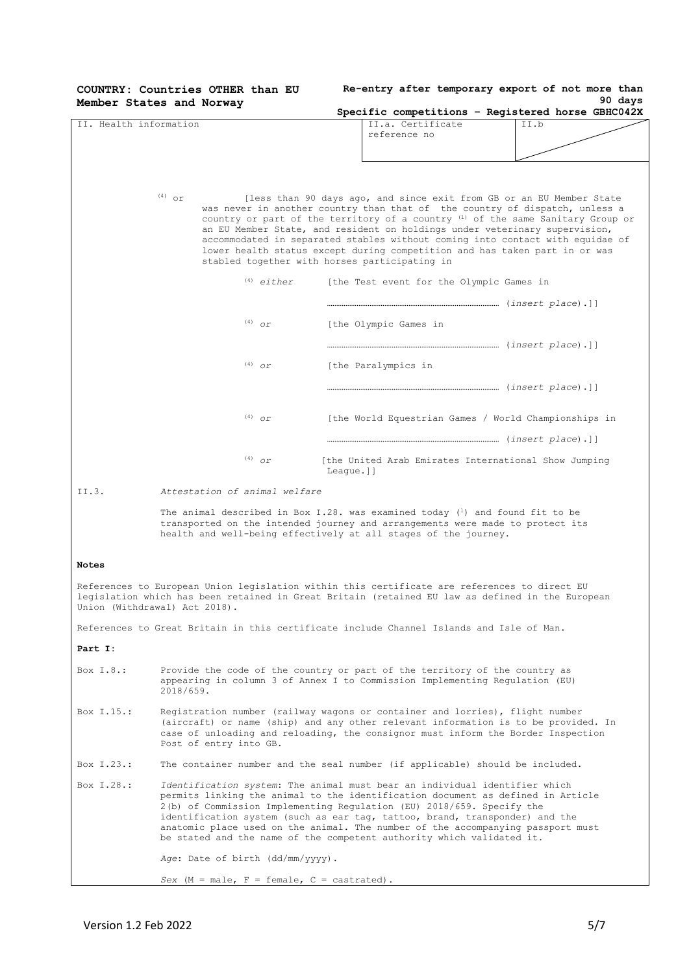|                        | COUNTRY: Countries OTHER than EU<br>Member States and Norway                                                                                                                                                                                                                                                                                                                                                                                                                      |           |                                                                                                                                                                                                                                                                                                                                                                                                                                                                                       | Re-entry after temporary export of not more than<br>90 days |
|------------------------|-----------------------------------------------------------------------------------------------------------------------------------------------------------------------------------------------------------------------------------------------------------------------------------------------------------------------------------------------------------------------------------------------------------------------------------------------------------------------------------|-----------|---------------------------------------------------------------------------------------------------------------------------------------------------------------------------------------------------------------------------------------------------------------------------------------------------------------------------------------------------------------------------------------------------------------------------------------------------------------------------------------|-------------------------------------------------------------|
|                        |                                                                                                                                                                                                                                                                                                                                                                                                                                                                                   |           |                                                                                                                                                                                                                                                                                                                                                                                                                                                                                       | Specific competitions - Registered horse GBHC042X           |
| II. Health information |                                                                                                                                                                                                                                                                                                                                                                                                                                                                                   |           | II.a. Certificate<br>reference no                                                                                                                                                                                                                                                                                                                                                                                                                                                     | II.b                                                        |
|                        |                                                                                                                                                                                                                                                                                                                                                                                                                                                                                   |           |                                                                                                                                                                                                                                                                                                                                                                                                                                                                                       |                                                             |
|                        |                                                                                                                                                                                                                                                                                                                                                                                                                                                                                   |           |                                                                                                                                                                                                                                                                                                                                                                                                                                                                                       |                                                             |
|                        |                                                                                                                                                                                                                                                                                                                                                                                                                                                                                   |           |                                                                                                                                                                                                                                                                                                                                                                                                                                                                                       |                                                             |
|                        | $(4)$ or<br>stabled together with horses participating in                                                                                                                                                                                                                                                                                                                                                                                                                         |           | [less than 90 days ago, and since exit from GB or an EU Member State<br>was never in another country than that of the country of dispatch, unless a<br>country or part of the territory of a country $(1)$ of the same Sanitary Group or<br>an EU Member State, and resident on holdings under veterinary supervision,<br>accommodated in separated stables without coming into contact with equidae of<br>lower health status except during competition and has taken part in or was |                                                             |
|                        | $(4)$ either                                                                                                                                                                                                                                                                                                                                                                                                                                                                      |           | [the Test event for the Olympic Games in                                                                                                                                                                                                                                                                                                                                                                                                                                              |                                                             |
|                        |                                                                                                                                                                                                                                                                                                                                                                                                                                                                                   |           |                                                                                                                                                                                                                                                                                                                                                                                                                                                                                       |                                                             |
|                        |                                                                                                                                                                                                                                                                                                                                                                                                                                                                                   |           |                                                                                                                                                                                                                                                                                                                                                                                                                                                                                       |                                                             |
|                        | $(4)$ or                                                                                                                                                                                                                                                                                                                                                                                                                                                                          |           | [the Olympic Games in                                                                                                                                                                                                                                                                                                                                                                                                                                                                 |                                                             |
|                        |                                                                                                                                                                                                                                                                                                                                                                                                                                                                                   |           |                                                                                                                                                                                                                                                                                                                                                                                                                                                                                       |                                                             |
|                        | $(4)$ or                                                                                                                                                                                                                                                                                                                                                                                                                                                                          |           | [the Paralympics in                                                                                                                                                                                                                                                                                                                                                                                                                                                                   |                                                             |
|                        |                                                                                                                                                                                                                                                                                                                                                                                                                                                                                   |           |                                                                                                                                                                                                                                                                                                                                                                                                                                                                                       |                                                             |
|                        |                                                                                                                                                                                                                                                                                                                                                                                                                                                                                   |           |                                                                                                                                                                                                                                                                                                                                                                                                                                                                                       |                                                             |
|                        | $(4)$ Or                                                                                                                                                                                                                                                                                                                                                                                                                                                                          |           | [the World Equestrian Games / World Championships in                                                                                                                                                                                                                                                                                                                                                                                                                                  |                                                             |
|                        |                                                                                                                                                                                                                                                                                                                                                                                                                                                                                   |           |                                                                                                                                                                                                                                                                                                                                                                                                                                                                                       |                                                             |
|                        | $(4)$ Or                                                                                                                                                                                                                                                                                                                                                                                                                                                                          | League.]] | [the United Arab Emirates International Show Jumping                                                                                                                                                                                                                                                                                                                                                                                                                                  |                                                             |
| II.3.                  | Attestation of animal welfare                                                                                                                                                                                                                                                                                                                                                                                                                                                     |           |                                                                                                                                                                                                                                                                                                                                                                                                                                                                                       |                                                             |
|                        | The animal described in Box I.28. was examined today $(1)$ and found fit to be<br>transported on the intended journey and arrangements were made to protect its<br>health and well-being effectively at all stages of the journey.                                                                                                                                                                                                                                                |           |                                                                                                                                                                                                                                                                                                                                                                                                                                                                                       |                                                             |
| <b>Notes</b>           |                                                                                                                                                                                                                                                                                                                                                                                                                                                                                   |           |                                                                                                                                                                                                                                                                                                                                                                                                                                                                                       |                                                             |
|                        | References to European Union legislation within this certificate are references to direct EU<br>legislation which has been retained in Great Britain (retained EU law as defined in the European<br>Union (Withdrawal) Act 2018).                                                                                                                                                                                                                                                 |           |                                                                                                                                                                                                                                                                                                                                                                                                                                                                                       |                                                             |
|                        | References to Great Britain in this certificate include Channel Islands and Isle of Man.                                                                                                                                                                                                                                                                                                                                                                                          |           |                                                                                                                                                                                                                                                                                                                                                                                                                                                                                       |                                                             |
| Part I:                |                                                                                                                                                                                                                                                                                                                                                                                                                                                                                   |           |                                                                                                                                                                                                                                                                                                                                                                                                                                                                                       |                                                             |
| Box $I.8.:$            | Provide the code of the country or part of the territory of the country as<br>appearing in column 3 of Annex I to Commission Implementing Regulation (EU)<br>2018/659.                                                                                                                                                                                                                                                                                                            |           |                                                                                                                                                                                                                                                                                                                                                                                                                                                                                       |                                                             |
| Box I.15.:             | Registration number (railway wagons or container and lorries), flight number<br>(aircraft) or name (ship) and any other relevant information is to be provided. In<br>case of unloading and reloading, the consignor must inform the Border Inspection<br>Post of entry into GB.                                                                                                                                                                                                  |           |                                                                                                                                                                                                                                                                                                                                                                                                                                                                                       |                                                             |
| Box I.23.:             | The container number and the seal number (if applicable) should be included.                                                                                                                                                                                                                                                                                                                                                                                                      |           |                                                                                                                                                                                                                                                                                                                                                                                                                                                                                       |                                                             |
| Box I.28.:             | Identification system: The animal must bear an individual identifier which<br>permits linking the animal to the identification document as defined in Article<br>2(b) of Commission Implementing Regulation (EU) 2018/659. Specify the<br>identification system (such as ear tag, tattoo, brand, transponder) and the<br>anatomic place used on the animal. The number of the accompanying passport must<br>be stated and the name of the competent authority which validated it. |           |                                                                                                                                                                                                                                                                                                                                                                                                                                                                                       |                                                             |
|                        | Age: Date of birth (dd/mm/yyyy).                                                                                                                                                                                                                                                                                                                                                                                                                                                  |           |                                                                                                                                                                                                                                                                                                                                                                                                                                                                                       |                                                             |

*Sex* ( $M = male$ ,  $F = female$ ,  $C = castrated$ ).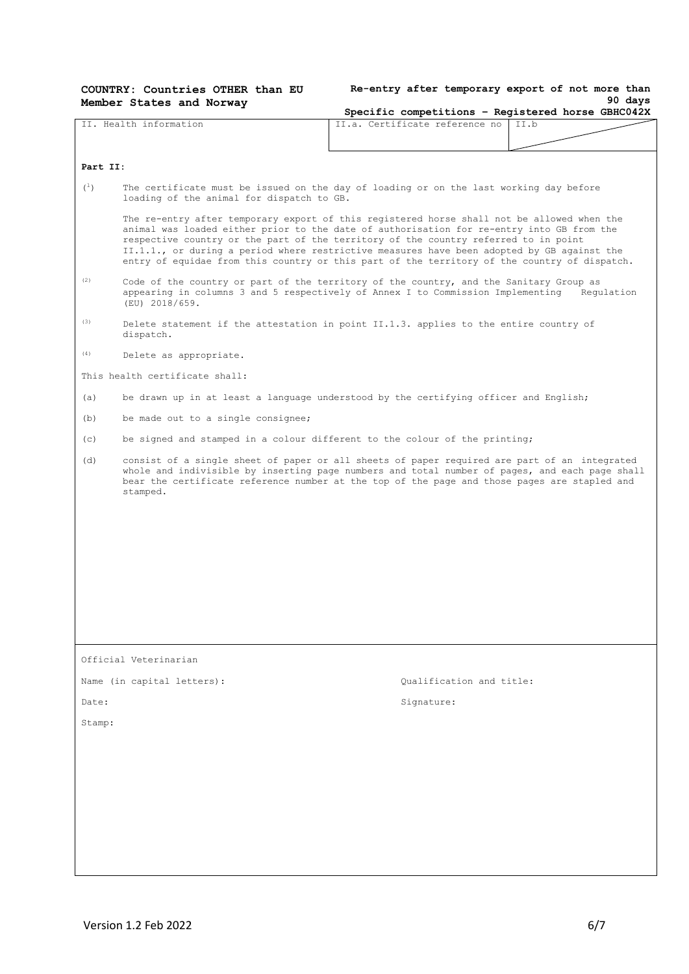| COUNTRY: Countries OTHER than EU |  |  |  |  |
|----------------------------------|--|--|--|--|
| Member States and Norway         |  |  |  |  |

**Re-entry after temporary export of not more than 90 days**

|                        | $r$ and $r$ is the contract $\frac{1}{r}$                                                                                                                                                                                                                                                                                                                                                                                                                                    | Specific competitions - Registered horse GBHC042X |            |  |  |
|------------------------|------------------------------------------------------------------------------------------------------------------------------------------------------------------------------------------------------------------------------------------------------------------------------------------------------------------------------------------------------------------------------------------------------------------------------------------------------------------------------|---------------------------------------------------|------------|--|--|
| II. Health information |                                                                                                                                                                                                                                                                                                                                                                                                                                                                              | II.a. Certificate reference no                    | II.b       |  |  |
|                        |                                                                                                                                                                                                                                                                                                                                                                                                                                                                              |                                                   |            |  |  |
| Part II:               |                                                                                                                                                                                                                                                                                                                                                                                                                                                                              |                                                   |            |  |  |
| $(\perp)$              | The certificate must be issued on the day of loading or on the last working day before<br>loading of the animal for dispatch to GB.                                                                                                                                                                                                                                                                                                                                          |                                                   |            |  |  |
|                        | The re-entry after temporary export of this registered horse shall not be allowed when the<br>animal was loaded either prior to the date of authorisation for re-entry into GB from the<br>respective country or the part of the territory of the country referred to in point<br>II.1.1., or during a period where restrictive measures have been adopted by GB against the<br>entry of equidae from this country or this part of the territory of the country of dispatch. |                                                   |            |  |  |
| (2)                    | Code of the country or part of the territory of the country, and the Sanitary Group as<br>appearing in columns 3 and 5 respectively of Annex I to Commission Implementing<br>(EU) 2018/659.                                                                                                                                                                                                                                                                                  |                                                   | Requlation |  |  |
| (3)                    | Delete statement if the attestation in point II.1.3. applies to the entire country of<br>dispatch.                                                                                                                                                                                                                                                                                                                                                                           |                                                   |            |  |  |
| (4)                    | Delete as appropriate.                                                                                                                                                                                                                                                                                                                                                                                                                                                       |                                                   |            |  |  |
|                        | This health certificate shall:                                                                                                                                                                                                                                                                                                                                                                                                                                               |                                                   |            |  |  |
| (a)                    | be drawn up in at least a language understood by the certifying officer and English;                                                                                                                                                                                                                                                                                                                                                                                         |                                                   |            |  |  |
| (b)                    | be made out to a single consignee;                                                                                                                                                                                                                                                                                                                                                                                                                                           |                                                   |            |  |  |
| (c)                    | be signed and stamped in a colour different to the colour of the printing;                                                                                                                                                                                                                                                                                                                                                                                                   |                                                   |            |  |  |
| (d)                    | consist of a single sheet of paper or all sheets of paper required are part of an integrated<br>whole and indivisible by inserting page numbers and total number of pages, and each page shall<br>bear the certificate reference number at the top of the page and those pages are stapled and<br>stamped.                                                                                                                                                                   |                                                   |            |  |  |
|                        |                                                                                                                                                                                                                                                                                                                                                                                                                                                                              |                                                   |            |  |  |
|                        |                                                                                                                                                                                                                                                                                                                                                                                                                                                                              |                                                   |            |  |  |
|                        |                                                                                                                                                                                                                                                                                                                                                                                                                                                                              |                                                   |            |  |  |
|                        |                                                                                                                                                                                                                                                                                                                                                                                                                                                                              |                                                   |            |  |  |
|                        |                                                                                                                                                                                                                                                                                                                                                                                                                                                                              |                                                   |            |  |  |
|                        |                                                                                                                                                                                                                                                                                                                                                                                                                                                                              |                                                   |            |  |  |
|                        |                                                                                                                                                                                                                                                                                                                                                                                                                                                                              |                                                   |            |  |  |
|                        | Official Veterinarian                                                                                                                                                                                                                                                                                                                                                                                                                                                        |                                                   |            |  |  |
|                        | Name (in capital letters):                                                                                                                                                                                                                                                                                                                                                                                                                                                   | Qualification and title:                          |            |  |  |
| Date:                  |                                                                                                                                                                                                                                                                                                                                                                                                                                                                              | Signature:                                        |            |  |  |
| Stamp:                 |                                                                                                                                                                                                                                                                                                                                                                                                                                                                              |                                                   |            |  |  |
|                        |                                                                                                                                                                                                                                                                                                                                                                                                                                                                              |                                                   |            |  |  |
|                        |                                                                                                                                                                                                                                                                                                                                                                                                                                                                              |                                                   |            |  |  |
|                        |                                                                                                                                                                                                                                                                                                                                                                                                                                                                              |                                                   |            |  |  |
|                        |                                                                                                                                                                                                                                                                                                                                                                                                                                                                              |                                                   |            |  |  |
|                        |                                                                                                                                                                                                                                                                                                                                                                                                                                                                              |                                                   |            |  |  |